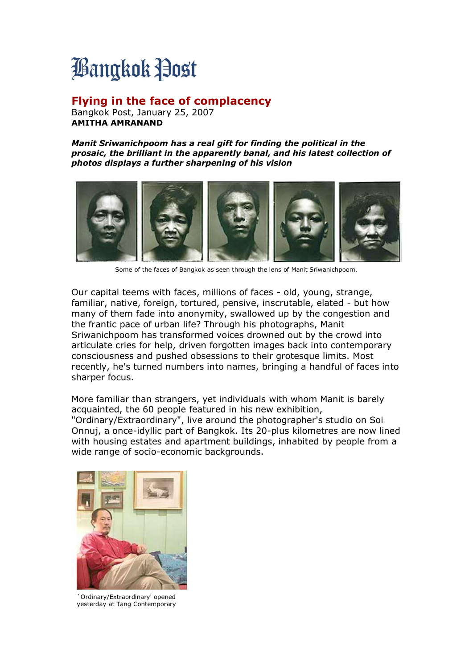## **Bangkok Post**

## **Flying in the face of complacency**

Bangkok Post, January 25, 2007 **AMITHA AMRANAND**

*Manit Sriwanichpoom has a real gift for finding the political in the prosaic, the brilliant in the apparently banal, and his latest collection of photos displays a further sharpening of his vision*



Some of the faces of Bangkok as seen through the lens of Manit Sriwanichpoom.

Our capital teems with faces, millions of faces - old, young, strange, familiar, native, foreign, tortured, pensive, inscrutable, elated - but how many of them fade into anonymity, swallowed up by the congestion and the frantic pace of urban life? Through his photographs, Manit Sriwanichpoom has transformed voices drowned out by the crowd into articulate cries for help, driven forgotten images back into contemporary consciousness and pushed obsessions to their grotesque limits. Most recently, he's turned numbers into names, bringing a handful of faces into sharper focus.

More familiar than strangers, yet individuals with whom Manit is barely acquainted, the 60 people featured in his new exhibition, "Ordinary/Extraordinary", live around the photographer's studio on Soi Onnuj, a once-idyllic part of Bangkok. Its 20-plus kilometres are now lined with housing estates and apartment buildings, inhabited by people from a wide range of socio-economic backgrounds.



`Ordinary/Extraordinary' opened yesterday at Tang Contemporary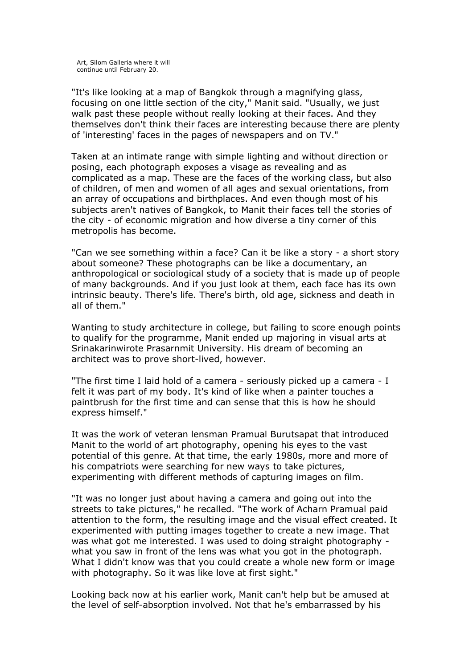"It's like looking at a map of Bangkok through a magnifying glass, focusing on one little section of the city," Manit said. "Usually, we just walk past these people without really looking at their faces. And they themselves don't think their faces are interesting because there are plenty of 'interesting' faces in the pages of newspapers and on TV."

Taken at an intimate range with simple lighting and without direction or posing, each photograph exposes a visage as revealing and as complicated as a map. These are the faces of the working class, but also of children, of men and women of all ages and sexual orientations, from an array of occupations and birthplaces. And even though most of his subjects aren't natives of Bangkok, to Manit their faces tell the stories of the city - of economic migration and how diverse a tiny corner of this metropolis has become.

"Can we see something within a face? Can it be like a story - a short story about someone? These photographs can be like a documentary, an anthropological or sociological study of a society that is made up of people of many backgrounds. And if you just look at them, each face has its own intrinsic beauty. There's life. There's birth, old age, sickness and death in all of them."

Wanting to study architecture in college, but failing to score enough points to qualify for the programme, Manit ended up majoring in visual arts at Srinakarinwirote Prasarnmit University. His dream of becoming an architect was to prove short-lived, however.

"The first time I laid hold of a camera - seriously picked up a camera - I felt it was part of my body. It's kind of like when a painter touches a paintbrush for the first time and can sense that this is how he should express himself."

It was the work of veteran lensman Pramual Burutsapat that introduced Manit to the world of art photography, opening his eyes to the vast potential of this genre. At that time, the early 1980s, more and more of his compatriots were searching for new ways to take pictures, experimenting with different methods of capturing images on film.

"It was no longer just about having a camera and going out into the streets to take pictures," he recalled. "The work of Acharn Pramual paid attention to the form, the resulting image and the visual effect created. It experimented with putting images together to create a new image. That was what got me interested. I was used to doing straight photography what you saw in front of the lens was what you got in the photograph. What I didn't know was that you could create a whole new form or image with photography. So it was like love at first sight."

Looking back now at his earlier work, Manit can't help but be amused at the level of self-absorption involved. Not that he's embarrassed by his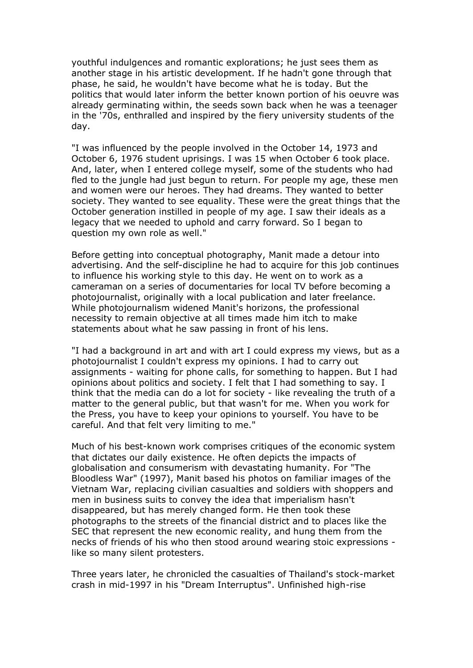youthful indulgences and romantic explorations; he just sees them as another stage in his artistic development. If he hadn't gone through that phase, he said, he wouldn't have become what he is today. But the politics that would later inform the better known portion of his oeuvre was already germinating within, the seeds sown back when he was a teenager in the '70s, enthralled and inspired by the fiery university students of the day.

"I was influenced by the people involved in the October 14, 1973 and October 6, 1976 student uprisings. I was 15 when October 6 took place. And, later, when I entered college myself, some of the students who had fled to the jungle had just begun to return. For people my age, these men and women were our heroes. They had dreams. They wanted to better society. They wanted to see equality. These were the great things that the October generation instilled in people of my age. I saw their ideals as a legacy that we needed to uphold and carry forward. So I began to question my own role as well."

Before getting into conceptual photography, Manit made a detour into advertising. And the self-discipline he had to acquire for this job continues to influence his working style to this day. He went on to work as a cameraman on a series of documentaries for local TV before becoming a photojournalist, originally with a local publication and later freelance. While photojournalism widened Manit's horizons, the professional necessity to remain objective at all times made him itch to make statements about what he saw passing in front of his lens.

"I had a background in art and with art I could express my views, but as a photojournalist I couldn't express my opinions. I had to carry out assignments - waiting for phone calls, for something to happen. But I had opinions about politics and society. I felt that I had something to say. I think that the media can do a lot for society - like revealing the truth of a matter to the general public, but that wasn't for me. When you work for the Press, you have to keep your opinions to yourself. You have to be careful. And that felt very limiting to me."

Much of his best-known work comprises critiques of the economic system that dictates our daily existence. He often depicts the impacts of globalisation and consumerism with devastating humanity. For "The Bloodless War" (1997), Manit based his photos on familiar images of the Vietnam War, replacing civilian casualties and soldiers with shoppers and men in business suits to convey the idea that imperialism hasn't disappeared, but has merely changed form. He then took these photographs to the streets of the financial district and to places like the SEC that represent the new economic reality, and hung them from the necks of friends of his who then stood around wearing stoic expressions like so many silent protesters.

Three years later, he chronicled the casualties of Thailand's stock-market crash in mid-1997 in his "Dream Interruptus". Unfinished high-rise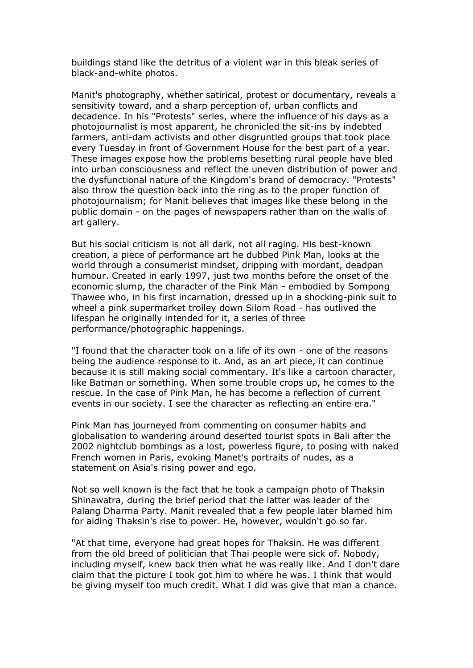buildings stand like the detritus of a violent war in this bleak series of black-and-white photos.

Manit's photography, whether satirical, protest or documentary, reveals a sensitivity toward, and a sharp perception of, urban conflicts and decadence. In his "Protests" series, where the influence of his days as a photojournalist is most apparent, he chronicled the sit-ins by indebted farmers, anti-dam activists and other disgruntled groups that took place every Tuesday in front of Government House for the best part of a year. These images expose how the problems besetting rural people have bled into urban consciousness and reflect the uneven distribution of power and the dysfunctional nature of the Kingdom's brand of democracy. "Protests" also throw the question back into the ring as to the proper function of photojournalism; for Manit believes that images like these belong in the public domain - on the pages of newspapers rather than on the walls of art gallery.

But his social criticism is not all dark, not all raging. His best-known creation, a piece of performance art he dubbed Pink Man, looks at the world through a consumerist mindset, dripping with mordant, deadpan humour. Created in early 1997, just two months before the onset of the economic slump, the character of the Pink Man - embodied by Sompong Thawee who, in his first incarnation, dressed up in a shocking-pink suit to wheel a pink supermarket trolley down Silom Road - has outlived the lifespan he originally intended for it, a series of three performance/photographic happenings.

"I found that the character took on a life of its own - one of the reasons being the audience response to it. And, as an art piece, it can continue because it is still making social commentary. It's like a cartoon character, like Batman or something. When some trouble crops up, he comes to the rescue. In the case of Pink Man, he has become a reflection of current events in our society. I see the character as reflecting an entire era."

Pink Man has journeyed from commenting on consumer habits and globalisation to wandering around deserted tourist spots in Bali after the 2002 nightclub bombings as a lost, powerless figure, to posing with naked French women in Paris, evoking Manet's portraits of nudes, as a statement on Asia's rising power and ego.

Not so well known is the fact that he took a campaign photo of Thaksin Shinawatra, during the brief period that the latter was leader of the Palang Dharma Party. Manit revealed that a few people later blamed him for aiding Thaksin's rise to power. He, however, wouldn't go so far.

"At that time, everyone had great hopes for Thaksin. He was different from the old breed of politician that Thai people were sick of. Nobody, including myself, knew back then what he was really like. And I don't dare claim that the picture I took got him to where he was. I think that would be giving myself too much credit. What I did was give that man a chance.